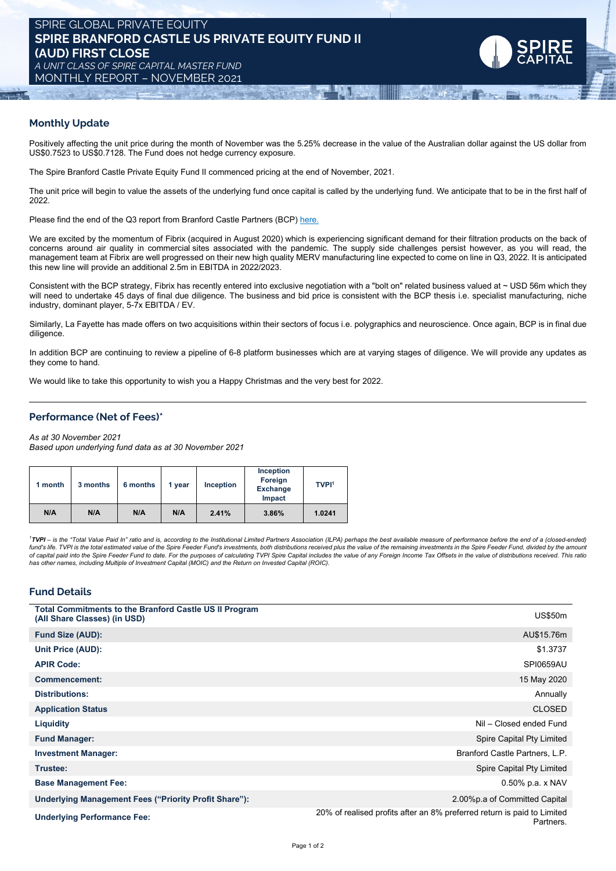## **Monthly Update**

Positively affecting the unit price during the month of November was the 5.25% decrease in the value of the Australian dollar against the US dollar from US\$0.7523 to US\$0.7128. The Fund does not hedge currency exposure.

The Spire Branford Castle Private Equity Fund II commenced pricing at the end of November, 2021.

The unit price will begin to value the assets of the underlying fund once capital is called by the underlying fund. We anticipate that to be in the first half of 2022.

Please find the end of the Q3 report from Branford Castle Partners (BCP) [here.](https://www.dropbox.com/s/m184ag2an6hzzmy/BCP%20Fund%20II%20-%202021_Q3_Quarterly%20Letter_vFINAL2.pdf?dl=0)

We are excited by the momentum of Fibrix (acquired in August 2020) which is experiencing significant demand for their filtration products on the back of concerns around air quality in commercial sites associated with the pandemic. The supply side challenges persist however, as you will read, the management team at Fibrix are well progressed on their new high quality MERV manufacturing line expected to come on line in Q3, 2022. It is anticipated this new line will provide an additional 2.5m in EBITDA in 2022/2023.

Consistent with the BCP strategy, Fibrix has recently entered into exclusive negotiation with a "bolt on" related business valued at ~ USD 56m which they will need to undertake 45 days of final due diligence. The business and bid price is consistent with the BCP thesis i.e. specialist manufacturing, niche industry, dominant player, 5-7x EBITDA / EV.

Similarly, La Fayette has made offers on two acquisitions within their sectors of focus i.e. polygraphics and neuroscience. Once again, BCP is in final due diligence.

In addition BCP are continuing to review a pipeline of 6-8 platform businesses which are at varying stages of diligence. We will provide any updates as they come to hand.

We would like to take this opportunity to wish you a Happy Christmas and the very best for 2022.

# **Performance (Net of Fees)\***

*As at 30 November 2021*

*Based upon underlying fund data as at 30 November 2021*

| 1 month | 3 months | 6 months | 1 year | <b>Inception</b> | <b>Inception</b><br>Foreign<br><b>Exchange</b><br>Impact | <b>TVPI1</b> |
|---------|----------|----------|--------|------------------|----------------------------------------------------------|--------------|
| N/A     | N/A      | N/A      | N/A    | 2.41%            | 3.86%                                                    | 1.0241       |

<sup>1</sup>TVPI - is the "Total Value Paid In" ratio and is, according to the Institutional Limited Partners Association (ILPA) perhaps the best available measure of performance before the end of a (closed-ended) fund's life. TVPI is the total estimated value of the Spire Feeder Fund's investments, both distributions received plus the value of the remaining investments in the Spire Feeder Fund, divided by the amount and the amount *has other names, including Multiple of Investment Capital (MOIC) and the Return on Invested Capital (ROIC).*

### **Fund Details**

| <b>Total Commitments to the Branford Castle US II Program</b><br>(All Share Classes) (in USD) | <b>US\$50m</b>                                                                       |
|-----------------------------------------------------------------------------------------------|--------------------------------------------------------------------------------------|
| <b>Fund Size (AUD):</b>                                                                       | AU\$15.76m                                                                           |
| Unit Price (AUD):                                                                             | \$1.3737                                                                             |
| <b>APIR Code:</b>                                                                             | <b>SPI0659AU</b>                                                                     |
| <b>Commencement:</b>                                                                          | 15 May 2020                                                                          |
| <b>Distributions:</b>                                                                         | Annually                                                                             |
| <b>Application Status</b>                                                                     | <b>CLOSED</b>                                                                        |
| Liquidity                                                                                     | Nil - Closed ended Fund                                                              |
| <b>Fund Manager:</b>                                                                          | Spire Capital Pty Limited                                                            |
| <b>Investment Manager:</b>                                                                    | Branford Castle Partners, L.P.                                                       |
| Trustee:                                                                                      | Spire Capital Pty Limited                                                            |
| <b>Base Management Fee:</b>                                                                   | $0.50\%$ p.a. x NAV                                                                  |
| Underlying Management Fees ("Priority Profit Share"):                                         | 2.00%p.a of Committed Capital                                                        |
| <b>Underlying Performance Fee:</b>                                                            | 20% of realised profits after an 8% preferred return is paid to Limited<br>Partners. |